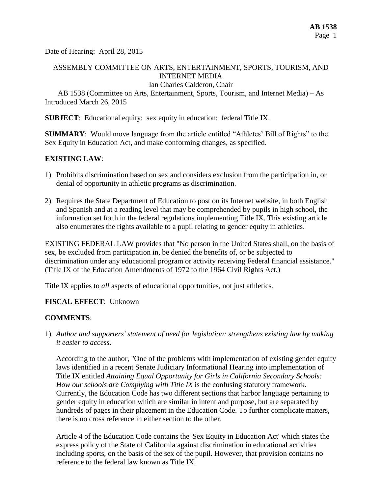Date of Hearing: April 28, 2015

# ASSEMBLY COMMITTEE ON ARTS, ENTERTAINMENT, SPORTS, TOURISM, AND INTERNET MEDIA

Ian Charles Calderon, Chair

AB 1538 (Committee on Arts, Entertainment, Sports, Tourism, and Internet Media) – As Introduced March 26, 2015

**SUBJECT**: Educational equity: sex equity in education: federal Title IX.

**SUMMARY**: Would move language from the article entitled "Athletes' Bill of Rights" to the Sex Equity in Education Act, and make conforming changes, as specified.

### **EXISTING LAW**:

- 1) Prohibits discrimination based on sex and considers exclusion from the participation in, or denial of opportunity in athletic programs as discrimination.
- 2) Requires the State Department of Education to post on its Internet website, in both English and Spanish and at a reading level that may be comprehended by pupils in high school, the information set forth in the federal regulations implementing Title IX. This existing article also enumerates the rights available to a pupil relating to gender equity in athletics.

EXISTING FEDERAL LAW provides that "No person in the United States shall, on the basis of sex, be excluded from participation in, be denied the benefits of, or be subjected to discrimination under any educational program or activity receiving Federal financial assistance." (Title IX of the Education Amendments of 1972 to the 1964 Civil Rights Act.)

Title IX applies to *all* aspects of educational opportunities, not just athletics.

### **FISCAL EFFECT**: Unknown

### **COMMENTS**:

1) *Author and supporters' statement of need for legislation: strengthens existing law by making it easier to access*.

According to the author, "One of the problems with implementation of existing gender equity laws identified in a recent Senate Judiciary Informational Hearing into implementation of Title IX entitled *Attaining Equal Opportunity for Girls in California Secondary Schools: How our schools are Complying with Title IX* is the confusing statutory framework. Currently, the Education Code has two different sections that harbor language pertaining to gender equity in education which are similar in intent and purpose, but are separated by hundreds of pages in their placement in the Education Code. To further complicate matters, there is no cross reference in either section to the other.

Article 4 of the Education Code contains the 'Sex Equity in Education Act' which states the express policy of the State of California against discrimination in educational activities including sports, on the basis of the sex of the pupil. However, that provision contains no reference to the federal law known as Title IX.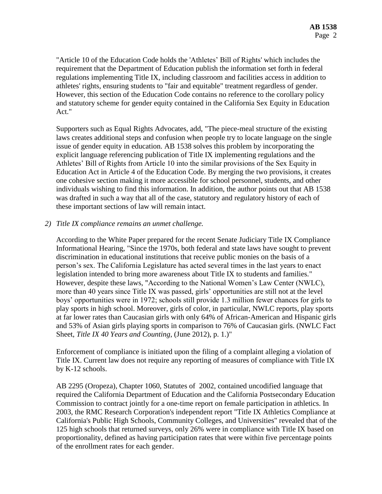"Article 10 of the Education Code holds the 'Athletes' Bill of Rights' which includes the requirement that the Department of Education publish the information set forth in federal regulations implementing Title IX, including classroom and facilities access in addition to athletes' rights, ensuring students to "fair and equitable" treatment regardless of gender. However, this section of the Education Code contains no reference to the corollary policy and statutory scheme for gender equity contained in the California Sex Equity in Education Act."

Supporters such as Equal Rights Advocates, add, "The piece-meal structure of the existing laws creates additional steps and confusion when people try to locate language on the single issue of gender equity in education. AB 1538 solves this problem by incorporating the explicit language referencing publication of Title IX implementing regulations and the Athletes' Bill of Rights from Article 10 into the similar provisions of the Sex Equity in Education Act in Article 4 of the Education Code. By merging the two provisions, it creates one cohesive section making it more accessible for school personnel, students, and other individuals wishing to find this information. In addition, the author points out that AB 1538 was drafted in such a way that all of the case, statutory and regulatory history of each of these important sections of law will remain intact.

### *2) Title IX compliance remains an unmet challenge.*

According to the White Paper prepared for the recent Senate Judiciary Title IX Compliance Informational Hearing, "Since the 1970s, both federal and state laws have sought to prevent discrimination in educational institutions that receive public monies on the basis of a person's sex. The California Legislature has acted several times in the last years to enact legislation intended to bring more awareness about Title IX to students and families." However, despite these laws, "According to the National Women's Law Center (NWLC), more than 40 years since Title IX was passed, girls' opportunities are still not at the level boys' opportunities were in 1972; schools still provide 1.3 million fewer chances for girls to play sports in high school. Moreover, girls of color, in particular, NWLC reports, play sports at far lower rates than Caucasian girls with only 64% of African-American and Hispanic girls and 53% of Asian girls playing sports in comparison to 76% of Caucasian girls. (NWLC Fact Sheet, *Title IX 40 Years and Counting*, (June 2012), p. 1.)"

Enforcement of compliance is initiated upon the filing of a complaint alleging a violation of Title IX. Current law does not require any reporting of measures of compliance with Title IX by K-12 schools.

AB 2295 (Oropeza), Chapter 1060, Statutes of 2002, contained uncodified language that required the California Department of Education and the California Postsecondary Education Commission to contract jointly for a one-time report on female participation in athletics. In 2003, the RMC Research Corporation's independent report "Title IX Athletics Compliance at California's Public High Schools, Community Colleges, and Universities" revealed that of the 125 high schools that returned surveys, only 26% were in compliance with Title IX based on proportionality, defined as having participation rates that were within five percentage points of the enrollment rates for each gender.